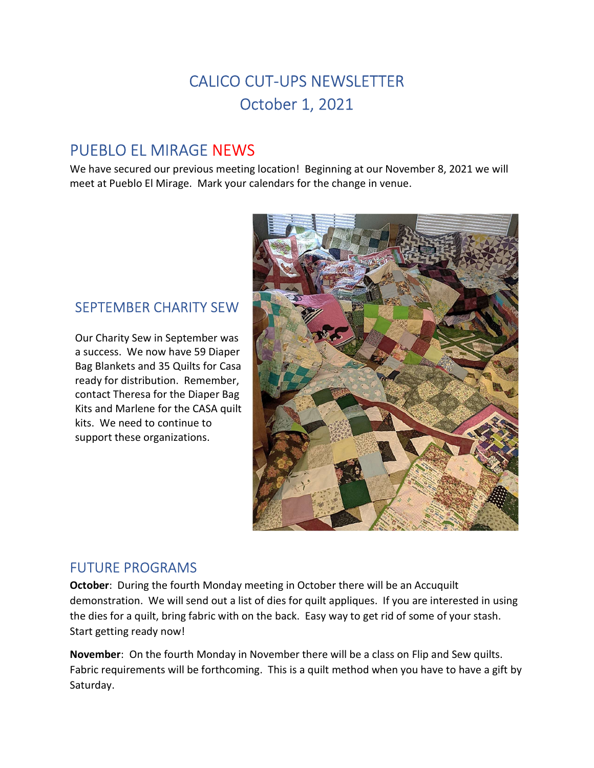# CALICO CUT-UPS NEWSLETTER October 1, 2021

## PUEBLO EL MIRAGE NEWS

We have secured our previous meeting location! Beginning at our November 8, 2021 we will meet at Pueblo El Mirage. Mark your calendars for the change in venue.



Our Charity Sew in September was a success. We now have 59 Diaper Bag Blankets and 35 Quilts for Casa ready for distribution. Remember, contact Theresa for the Diaper Bag Kits and Marlene for the CASA quilt kits. We need to continue to support these organizations.



#### FUTURE PROGRAMS

**October:** During the fourth Monday meeting in October there will be an Accuquilt demonstration. We will send out a list of dies for quilt appliques. If you are interested in using the dies for a quilt, bring fabric with on the back. Easy way to get rid of some of your stash. Start getting ready now!

November: On the fourth Monday in November there will be a class on Flip and Sew quilts. Fabric requirements will be forthcoming. This is a quilt method when you have to have a gift by Saturday.